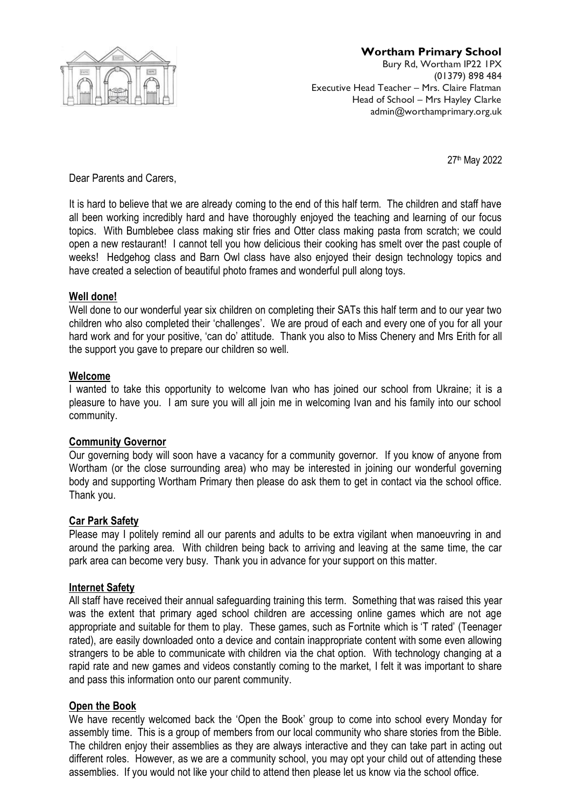

## **Wortham Primary School**

Bury Rd, Wortham IP22 1PX (01379) 898 484 Executive Head Teacher – Mrs. Claire Flatman Head of School – Mrs Hayley Clarke admin@worthamprimary.org.uk

27th May 2022

Dear Parents and Carers,

It is hard to believe that we are already coming to the end of this half term. The children and staff have all been working incredibly hard and have thoroughly enjoyed the teaching and learning of our focus topics. With Bumblebee class making stir fries and Otter class making pasta from scratch; we could open a new restaurant! I cannot tell you how delicious their cooking has smelt over the past couple of weeks! Hedgehog class and Barn Owl class have also enjoyed their design technology topics and have created a selection of beautiful photo frames and wonderful pull along toys.

## **Well done!**

Well done to our wonderful year six children on completing their SATs this half term and to our year two children who also completed their 'challenges'. We are proud of each and every one of you for all your hard work and for your positive, 'can do' attitude. Thank you also to Miss Chenery and Mrs Erith for all the support you gave to prepare our children so well.

## **Welcome**

I wanted to take this opportunity to welcome Ivan who has joined our school from Ukraine; it is a pleasure to have you. I am sure you will all join me in welcoming Ivan and his family into our school community.

#### **Community Governor**

Our governing body will soon have a vacancy for a community governor. If you know of anyone from Wortham (or the close surrounding area) who may be interested in joining our wonderful governing body and supporting Wortham Primary then please do ask them to get in contact via the school office. Thank you.

#### **Car Park Safety**

Please may I politely remind all our parents and adults to be extra vigilant when manoeuvring in and around the parking area. With children being back to arriving and leaving at the same time, the car park area can become very busy. Thank you in advance for your support on this matter.

# **Internet Safety**

All staff have received their annual safeguarding training this term. Something that was raised this year was the extent that primary aged school children are accessing online games which are not age appropriate and suitable for them to play. These games, such as Fortnite which is 'T rated' (Teenager rated), are easily downloaded onto a device and contain inappropriate content with some even allowing strangers to be able to communicate with children via the chat option. With technology changing at a rapid rate and new games and videos constantly coming to the market, I felt it was important to share and pass this information onto our parent community.

# **Open the Book**

We have recently welcomed back the 'Open the Book' group to come into school every Monday for assembly time. This is a group of members from our local community who share stories from the Bible. The children enjoy their assemblies as they are always interactive and they can take part in acting out different roles. However, as we are a community school, you may opt your child out of attending these assemblies. If you would not like your child to attend then please let us know via the school office.